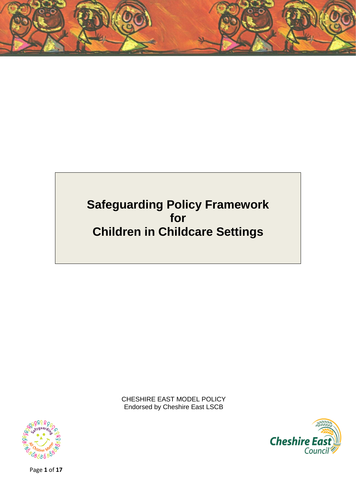

# **Safeguarding Policy Framework for Children in Childcare Settings**

CHESHIRE EAST MODEL POLICY Endorsed by Cheshire East LSCB





Page **1** of **17**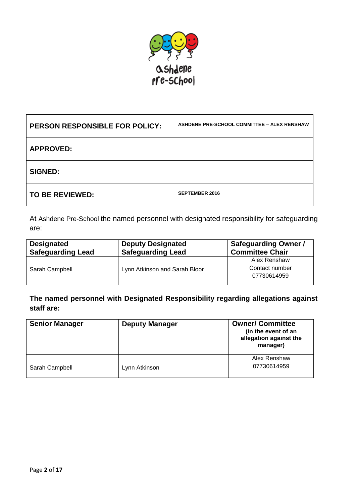

| <b>PERSON RESPONSIBLE FOR POLICY:</b> | ASHDENE PRE-SCHOOL COMMITTEE - ALEX RENSHAW |
|---------------------------------------|---------------------------------------------|
| <b>APPROVED:</b>                      |                                             |
| <b>SIGNED:</b>                        |                                             |
| <b>TO BE REVIEWED:</b>                | <b>SEPTEMBER 2016</b>                       |

At Ashdene Pre-School the named personnel with designated responsibility for safeguarding are:

| <b>Designated</b><br><b>Safeguarding Lead</b> | <b>Deputy Designated</b><br><b>Safeguarding Lead</b> | <b>Safeguarding Owner /</b><br><b>Committee Chair</b> |
|-----------------------------------------------|------------------------------------------------------|-------------------------------------------------------|
| Sarah Campbell                                | Lynn Atkinson and Sarah Bloor                        | Alex Renshaw                                          |
|                                               |                                                      | Contact number                                        |
|                                               |                                                      | 07730614959                                           |
|                                               |                                                      |                                                       |

**The named personnel with Designated Responsibility regarding allegations against staff are:**

| <b>Senior Manager</b> | <b>Deputy Manager</b> | <b>Owner/ Committee</b><br>(in the event of an<br>allegation against the<br>manager) |
|-----------------------|-----------------------|--------------------------------------------------------------------------------------|
| Sarah Campbell        | Lynn Atkinson         | Alex Renshaw<br>07730614959                                                          |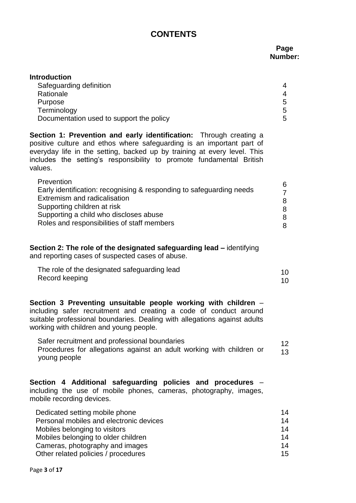## **CONTENTS**

### **Page Number:**

| <b>Introduction</b>                      |   |
|------------------------------------------|---|
| Safeguarding definition                  | 4 |
| Rationale                                | 4 |
| Purpose                                  | 5 |
| Terminology                              | 5 |
| Documentation used to support the policy | 5 |
|                                          |   |

**Section 1: Prevention and early identification:** Through creating a positive culture and ethos where safeguarding is an important part of everyday life in the setting, backed up by training at every level. This includes the setting's responsibility to promote fundamental British values.

| Prevention<br>Early identification: recognising & responding to safeguarding needs<br>Extremism and radicalisation<br>Supporting children at risk<br>Supporting a child who discloses abuse<br>Roles and responsibilities of staff members |
|--------------------------------------------------------------------------------------------------------------------------------------------------------------------------------------------------------------------------------------------|
|--------------------------------------------------------------------------------------------------------------------------------------------------------------------------------------------------------------------------------------------|

**Section 2: The role of the designated safeguarding lead –** identifying and reporting cases of suspected cases of abuse.

| The role of the designated safeguarding lead |  |
|----------------------------------------------|--|
| Record keeping                               |  |

**Section 3 Preventing unsuitable people working with children** – including safer recruitment and creating a code of conduct around suitable professional boundaries. Dealing with allegations against adults working with children and young people.

 Safer recruitment and professional boundaries Procedures for allegations against an adult working with children or young people 12 13

**Section 4 Additional safeguarding policies and procedures** – including the use of mobile phones, cameras, photography, images, mobile recording devices.

| Dedicated setting mobile phone          | 14 |
|-----------------------------------------|----|
| Personal mobiles and electronic devices | 14 |
| Mobiles belonging to visitors           | 14 |
| Mobiles belonging to older children     | 14 |
| Cameras, photography and images         | 14 |
| Other related policies / procedures     | 15 |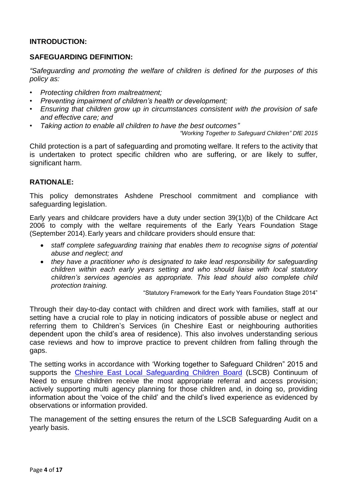#### **INTRODUCTION:**

#### **SAFEGUARDING DEFINITION:**

*"Safeguarding and promoting the welfare of children is defined for the purposes of this policy as:*

- *Protecting children from maltreatment;*
- *Preventing impairment of children's health or development;*
- *Ensuring that children grow up in circumstances consistent with the provision of safe and effective care; and*
- *Taking action to enable all children to have the best outcomes"*

*"Working Together to Safeguard Children" DfE 2015*

Child protection is a part of safeguarding and promoting welfare. It refers to the activity that is undertaken to protect specific children who are suffering, or are likely to suffer, significant harm.

#### **RATIONALE:**

This policy demonstrates Ashdene Preschool commitment and compliance with safeguarding legislation.

Early years and childcare providers have a duty under section 39(1)(b) of the Childcare Act 2006 to comply with the welfare requirements of the Early Years Foundation Stage (September 2014).Early years and childcare providers should ensure that:

- *staff complete safeguarding training that enables them to recognise signs of potential abuse and neglect; and*
- *they have a practitioner who is designated to take lead responsibility for safeguarding children within each early years setting and who should liaise with local statutory children's services agencies as appropriate. This lead should also complete child protection training.*

"Statutory Framework for the Early Years Foundation Stage 2014"

Through their day-to-day contact with children and direct work with families, staff at our setting have a crucial role to play in noticing indicators of possible abuse or neglect and referring them to Children's Services (in Cheshire East or neighbouring authorities dependent upon the child's area of residence). This also involves understanding serious case reviews and how to improve practice to prevent children from falling through the gaps.

The setting works in accordance with 'Working together to Safeguard Children" 2015 and supports the Cheshire East [Local Safeguarding Children Board](http://www.cheshireeastlscb.org.uk/homepage.aspx) (LSCB) Continuum of Need to ensure children receive the most appropriate referral and access provision; actively supporting multi agency planning for those children and, in doing so, providing information about the 'voice of the child' and the child's lived experience as evidenced by observations or information provided.

The management of the setting ensures the return of the LSCB Safeguarding Audit on a yearly basis.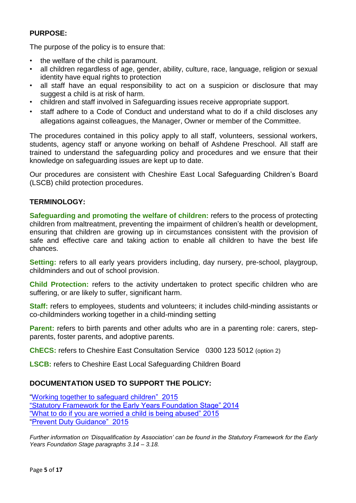## **PURPOSE:**

The purpose of the policy is to ensure that:

- the welfare of the child is paramount.
- all children regardless of age, gender, ability, culture, race, language, religion or sexual identity have equal rights to protection
- all staff have an equal responsibility to act on a suspicion or disclosure that may suggest a child is at risk of harm.
- children and staff involved in Safeguarding issues receive appropriate support.
- staff adhere to a Code of Conduct and understand what to do if a child discloses any allegations against colleagues, the Manager, Owner or member of the Committee.

The procedures contained in this policy apply to all staff, volunteers, sessional workers, students, agency staff or anyone working on behalf of Ashdene Preschool. All staff are trained to understand the safeguarding policy and procedures and we ensure that their knowledge on safeguarding issues are kept up to date.

Our procedures are consistent with Cheshire East Local Safeguarding Children's Board (LSCB) child protection procedures.

## **TERMINOLOGY:**

**Safeguarding and promoting the welfare of children:** refers to the process of protecting children from maltreatment, preventing the impairment of children's health or development, ensuring that children are growing up in circumstances consistent with the provision of safe and effective care and taking action to enable all children to have the best life chances.

**Setting:** refers to all early years providers including, day nursery, pre-school, playgroup, childminders and out of school provision.

**Child Protection:** refers to the activity undertaken to protect specific children who are suffering, or are likely to suffer, significant harm.

**Staff:** refers to employees, students and volunteers; it includes child-minding assistants or co-childminders working together in a child-minding setting

**Parent:** refers to birth parents and other adults who are in a parenting role: carers, stepparents, foster parents, and adoptive parents.

**ChECS:** refers to Cheshire East Consultation Service 0300 123 5012 (option 2)

**LSCB:** refers to Cheshire East Local Safeguarding Children Board

## **DOCUMENTATION USED TO SUPPORT THE POLICY:**

"Working together [to safeguard children" 2015](https://www.gov.uk/government/publications/working-together-to-safeguard-children--2) "Statutory Framework [for the Early Years Foundation Stage" 2014](http://www.foundationyears.org.uk/eyfs-statutory-framework/) ["What to do if you are worried](https://www.gov.uk/government/publications/what-to-do-if-youre-worried-a-child-is-being-abused--2) a child is being abused" 2015 ["Prevent Duty Guidance" 2015](https://www.gov.uk/government/publications/prevent-duty-guidance)

*Further information on 'Disqualification by Association' can be found in the Statutory Framework for the Early Years Foundation Stage paragraphs 3.14 – 3.18.*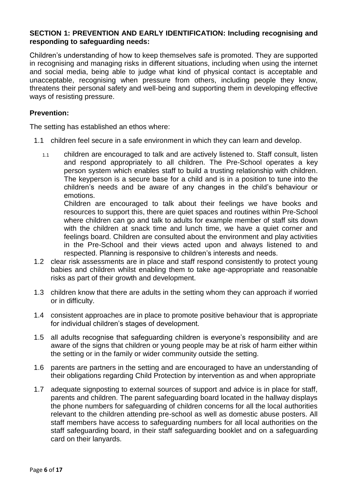#### **SECTION 1: PREVENTION AND EARLY IDENTIFICATION: Including recognising and responding to safeguarding needs:**

Children's understanding of how to keep themselves safe is promoted. They are supported in recognising and managing risks in different situations, including when using the internet and social media, being able to judge what kind of physical contact is acceptable and unacceptable, recognising when pressure from others, including people they know, threatens their personal safety and well-being and supporting them in developing effective ways of resisting pressure.

#### **Prevention:**

The setting has established an ethos where:

- 1.1 children feel secure in a safe environment in which they can learn and develop.
	- 1.1 children are encouraged to talk and are actively listened to. Staff consult, listen and respond appropriately to all children. The Pre-School operates a key person system which enables staff to build a trusting relationship with children. The keyperson is a secure base for a child and is in a position to tune into the children's needs and be aware of any changes in the child's behaviour or emotions.

Children are encouraged to talk about their feelings we have books and resources to support this, there are quiet spaces and routines within Pre-School where children can go and talk to adults for example member of staff sits down with the children at snack time and lunch time, we have a quiet corner and feelings board. Children are consulted about the environment and play activities in the Pre-School and their views acted upon and always listened to and respected. Planning is responsive to children's interests and needs.

- 1.2 clear risk assessments are in place and staff respond consistently to protect young babies and children whilst enabling them to take age-appropriate and reasonable risks as part of their growth and development.
- 1.3 children know that there are adults in the setting whom they can approach if worried or in difficulty.
- 1.4 consistent approaches are in place to promote positive behaviour that is appropriate for individual children's stages of development.
- 1.5 all adults recognise that safeguarding children is everyone's responsibility and are aware of the signs that children or young people may be at risk of harm either within the setting or in the family or wider community outside the setting.
- 1.6 parents are partners in the setting and are encouraged to have an understanding of their obligations regarding Child Protection by intervention as and when appropriate
- 1.7 adequate signposting to external sources of support and advice is in place for staff, parents and children. The parent safeguarding board located in the hallway displays the phone numbers for safeguarding of children concerns for all the local authorities relevant to the children attending pre-school as well as domestic abuse posters. All staff members have access to safeguarding numbers for all local authorities on the staff safeguarding board, in their staff safeguarding booklet and on a safeguarding card on their lanyards.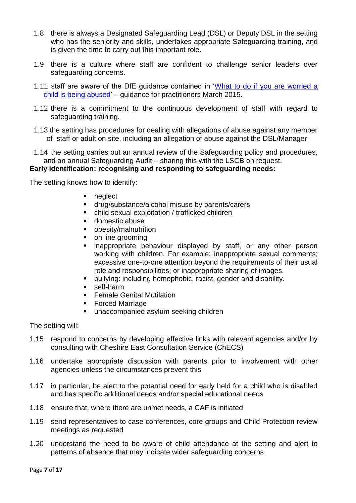- 1.8 there is always a Designated Safeguarding Lead (DSL) or Deputy DSL in the setting who has the seniority and skills, undertakes appropriate Safeguarding training, and is given the time to carry out this important role.
- 1.9 there is a culture where staff are confident to challenge senior leaders over safeguarding concerns.
- 1.11 staff are aware of the DfE guidance contained in ['What to do if you are worried a](https://www.gov.uk/government/publications/what-to-do-if-youre-worried-a-child-is-being-abused--2)  [child is being abused'](https://www.gov.uk/government/publications/what-to-do-if-youre-worried-a-child-is-being-abused--2) – guidance for practitioners March 2015.
- 1.12 there is a commitment to the continuous development of staff with regard to safeguarding training.
- 1.13 the setting has procedures for dealing with allegations of abuse against any member of staff or adult on site, including an allegation of abuse against the DSL/Manager
- 1.14 the setting carries out an annual review of the Safeguarding policy and procedures, and an annual Safeguarding Audit – sharing this with the LSCB on request. **Early identification: recognising and responding to safeguarding needs:**

The setting knows how to identify:

- neglect
- **drug/substance/alcohol misuse by parents/carers**
- child sexual exploitation / trafficked children
- **domestic abuse**
- obesity/malnutrition
- on line grooming
- **EX inappropriate behaviour displayed by staff, or any other person** working with children. For example; inappropriate sexual comments; excessive one-to-one attention beyond the requirements of their usual role and responsibilities; or inappropriate sharing of images.
- bullying: including homophobic, racist, gender and disability.
- self-harm
- **Female Genital Mutilation**
- **Forced Marriage**
- **unaccompanied asylum seeking children**

The setting will:

- 1.15 respond to concerns by developing effective links with relevant agencies and/or by consulting with Cheshire East Consultation Service (ChECS)
- 1.16 undertake appropriate discussion with parents prior to involvement with other agencies unless the circumstances prevent this
- 1.17 in particular, be alert to the potential need for early held for a child who is disabled and has specific additional needs and/or special educational needs
- 1.18 ensure that, where there are unmet needs, a CAF is initiated
- 1.19 send representatives to case conferences, core groups and Child Protection review meetings as requested
- 1.20 understand the need to be aware of child attendance at the setting and alert to patterns of absence that may indicate wider safeguarding concerns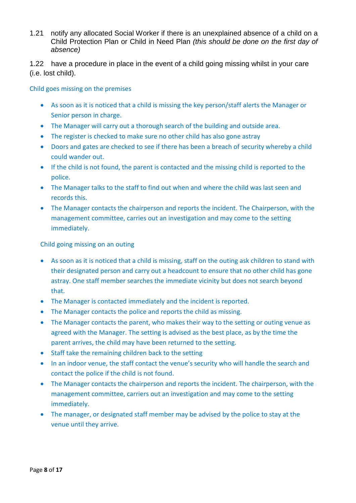1.21 notify any allocated Social Worker if there is an unexplained absence of a child on a Child Protection Plan or Child in Need Plan *(this should be done on the first day of absence)*

1.22 have a procedure in place in the event of a child going missing whilst in your care (i.e. lost child).

Child goes missing on the premises

- As soon as it is noticed that a child is missing the key person/staff alerts the Manager or Senior person in charge.
- The Manager will carry out a thorough search of the building and outside area.
- The register is checked to make sure no other child has also gone astray
- Doors and gates are checked to see if there has been a breach of security whereby a child could wander out.
- If the child is not found, the parent is contacted and the missing child is reported to the police.
- The Manager talks to the staff to find out when and where the child was last seen and records this.
- The Manager contacts the chairperson and reports the incident. The Chairperson, with the management committee, carries out an investigation and may come to the setting immediately.

Child going missing on an outing

- As soon as it is noticed that a child is missing, staff on the outing ask children to stand with their designated person and carry out a headcount to ensure that no other child has gone astray. One staff member searches the immediate vicinity but does not search beyond that.
- The Manager is contacted immediately and the incident is reported.
- The Manager contacts the police and reports the child as missing.
- The Manager contacts the parent, who makes their way to the setting or outing venue as agreed with the Manager. The setting is advised as the best place, as by the time the parent arrives, the child may have been returned to the setting.
- Staff take the remaining children back to the setting
- In an indoor venue, the staff contact the venue's security who will handle the search and contact the police if the child is not found.
- The Manager contacts the chairperson and reports the incident. The chairperson, with the management committee, carriers out an investigation and may come to the setting immediately.
- The manager, or designated staff member may be advised by the police to stay at the venue until they arrive.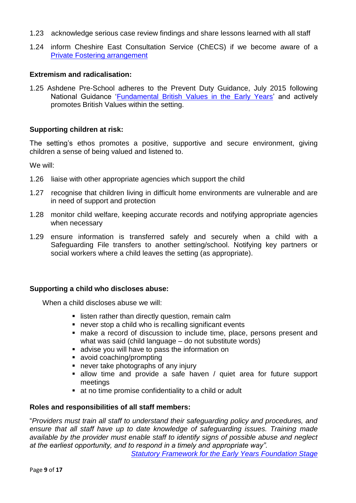- 1.23 acknowledge serious case review findings and share lessons learned with all staff
- 1.24 inform Cheshire East Consultation Service (ChECS) if we become aware of a [Private Fostering arrangement](http://www.cheshireeastlscb.org.uk/professionals/private-fostering-information-for-professionals.aspx)

#### **Extremism and radicalisation:**

1.25 Ashdene Pre-School adheres to the Prevent Duty Guidance, July 2015 following National Guidance ['Fundamental British Values in the Early Years'](http://www.foundationyears.org.uk/2015/03/fundamental-british-values-in-the-early-years/) and actively promotes British Values within the setting.

#### **Supporting children at risk:**

The setting's ethos promotes a positive, supportive and secure environment, giving children a sense of being valued and listened to.

We will:

- 1.26 liaise with other appropriate agencies which support the child
- 1.27 recognise that children living in difficult home environments are vulnerable and are in need of support and protection
- 1.28 monitor child welfare, keeping accurate records and notifying appropriate agencies when necessary
- 1.29 ensure information is transferred safely and securely when a child with a Safeguarding File transfers to another setting/school. Notifying key partners or social workers where a child leaves the setting (as appropriate).

#### **Supporting a child who discloses abuse:**

When a child discloses abuse we will:

- **EXTER** listen rather than directly question, remain calm
- never stop a child who is recalling significant events
- make a record of discussion to include time, place, persons present and what was said (child language – do not substitute words)
- **advise you will have to pass the information on**
- avoid coaching/prompting
- never take photographs of any injury
- allow time and provide a safe haven / quiet area for future support meetings
- at no time promise confidentiality to a child or adult

#### **Roles and responsibilities of all staff members:**

"*Providers must train all staff to understand their safeguarding policy and procedures, and ensure that all staff have up to date knowledge of safeguarding issues. Training made available by the provider must enable staff to identify signs of possible abuse and neglect at the earliest opportunity, and to respond in a timely and appropriate way".*

*[Statutory Framework for the Early Years Foundation Stage](http://www.foundationyears.org.uk/eyfs-statutory-framework/)*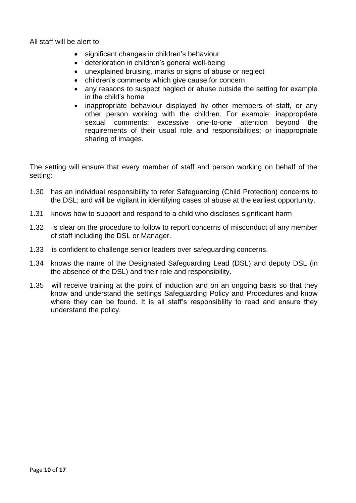All staff will be alert to:

- significant changes in children's behaviour
- deterioration in children's general well-being
- unexplained bruising, marks or signs of abuse or neglect
- children's comments which give cause for concern
- any reasons to suspect neglect or abuse outside the setting for example in the child's home
- inappropriate behaviour displayed by other members of staff, or any other person working with the children. For example: inappropriate sexual comments; excessive one-to-one attention beyond the requirements of their usual role and responsibilities; or inappropriate sharing of images.

The setting will ensure that every member of staff and person working on behalf of the setting:

- 1.30 has an individual responsibility to refer Safeguarding (Child Protection) concerns to the DSL; and will be vigilant in identifying cases of abuse at the earliest opportunity.
- 1.31 knows how to support and respond to a child who discloses significant harm
- 1.32 is clear on the procedure to follow to report concerns of misconduct of any member of staff including the DSL or Manager.
- 1.33 is confident to challenge senior leaders over safeguarding concerns.
- 1.34 knows the name of the Designated Safeguarding Lead (DSL) and deputy DSL (in the absence of the DSL) and their role and responsibility.
- 1.35 will receive training at the point of induction and on an ongoing basis so that they know and understand the settings Safeguarding Policy and Procedures and know where they can be found. It is all staff's responsibility to read and ensure they understand the policy.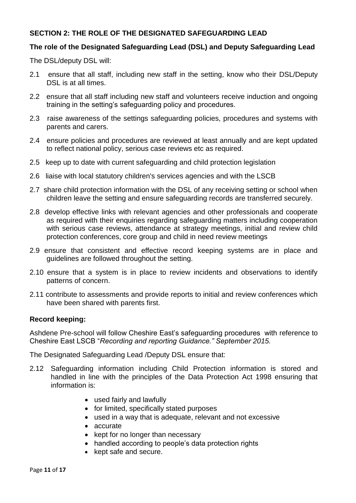## **SECTION 2: THE ROLE OF THE DESIGNATED SAFEGUARDING LEAD**

## **The role of the Designated Safeguarding Lead (DSL) and Deputy Safeguarding Lead**

The DSL/deputy DSL will:

- 2.1 ensure that all staff, including new staff in the setting, know who their DSL/Deputy DSL is at all times.
- 2.2 ensure that all staff including new staff and volunteers receive induction and ongoing training in the setting's safeguarding policy and procedures.
- 2.3 raise awareness of the settings safeguarding policies, procedures and systems with parents and carers.
- 2.4 ensure policies and procedures are reviewed at least annually and are kept updated to reflect national policy, serious case reviews etc as required.
- 2.5 keep up to date with current safeguarding and child protection legislation
- 2.6 liaise with local statutory children's services agencies and with the LSCB
- 2.7 share child protection information with the DSL of any receiving setting or school when children leave the setting and ensure safeguarding records are transferred securely.
- 2.8 develop effective links with relevant agencies and other professionals and cooperate as required with their enquiries regarding safeguarding matters including cooperation with serious case reviews, attendance at strategy meetings, initial and review child protection conferences, core group and child in need review meetings
- 2.9 ensure that consistent and effective record keeping systems are in place and guidelines are followed throughout the setting.
- 2.10 ensure that a system is in place to review incidents and observations to identify patterns of concern.
- 2.11 contribute to assessments and provide reports to initial and review conferences which have been shared with parents first.

#### **Record keeping:**

Ashdene Pre-school will follow Cheshire East's safeguarding procedures with reference to Cheshire East LSCB "*Recording and reporting Guidance." September 2015.*

The Designated Safeguarding Lead /Deputy DSL ensure that:

- 2.12 Safeguarding information including Child Protection information is stored and handled in line with the principles of the Data Protection Act 1998 ensuring that information is:
	- used fairly and lawfully
	- for limited, specifically stated purposes
	- used in a way that is adequate, relevant and not excessive
	- accurate
	- kept for no longer than necessary
	- handled according to people's data protection rights
	- kept safe and secure.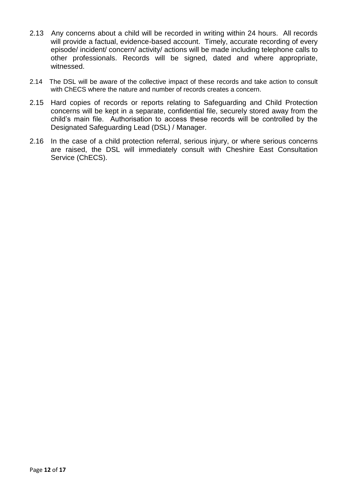- 2.13 Any concerns about a child will be recorded in writing within 24 hours. All records will provide a factual, evidence-based account. Timely, accurate recording of every episode/ incident/ concern/ activity/ actions will be made including telephone calls to other professionals. Records will be signed, dated and where appropriate, witnessed.
- 2.14 The DSL will be aware of the collective impact of these records and take action to consult with ChECS where the nature and number of records creates a concern.
- 2.15 Hard copies of records or reports relating to Safeguarding and Child Protection concerns will be kept in a separate, confidential file, securely stored away from the child's main file. Authorisation to access these records will be controlled by the Designated Safeguarding Lead (DSL) / Manager.
- 2.16 In the case of a child protection referral, serious injury, or where serious concerns are raised, the DSL will immediately consult with Cheshire East Consultation Service (ChECS).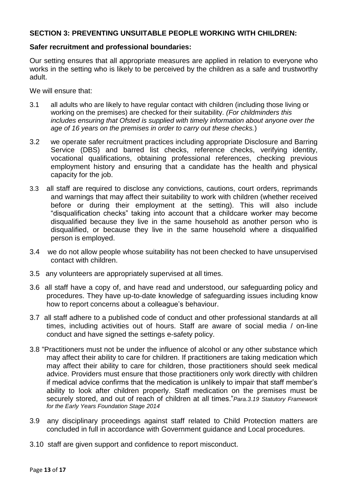### **SECTION 3: PREVENTING UNSUITABLE PEOPLE WORKING WITH CHILDREN:**

#### **Safer recruitment and professional boundaries:**

Our setting ensures that all appropriate measures are applied in relation to everyone who works in the setting who is likely to be perceived by the children as a safe and trustworthy adult.

We will ensure that:

- 3.1 all adults who are likely to have regular contact with children (including those living or working on the premises) are checked for their suitability. *(For childminders this includes ensuring that Ofsted is supplied with timely information about anyone over the age of 16 years on the premises in order to carry out these checks.*)
- 3.2 we operate safer recruitment practices including appropriate Disclosure and Barring Service (DBS) and barred list checks, reference checks, verifying identity, vocational qualifications, obtaining professional references, checking previous employment history and ensuring that a candidate has the health and physical capacity for the job.
- 3.3 all staff are required to disclose any convictions, cautions, court orders, reprimands and warnings that may affect their suitability to work with children (whether received before or during their employment at the setting). This will also include "disqualification checks" taking into account that a childcare worker may become disqualified because they live in the same household as another person who is disqualified, or because they live in the same household where a disqualified person is employed.
- 3.4 we do not allow people whose suitability has not been checked to have unsupervised contact with children.
- 3.5 any volunteers are appropriately supervised at all times.
- 3.6 all staff have a copy of, and have read and understood, our safeguarding policy and procedures. They have up-to-date knowledge of safeguarding issues including know how to report concerns about a colleague's behaviour.
- 3.7 all staff adhere to a published code of conduct and other professional standards at all times, including activities out of hours. Staff are aware of social media / on-line conduct and have signed the settings e-safety policy.
- 3.8 "Practitioners must not be under the influence of alcohol or any other substance which may affect their ability to care for children. If practitioners are taking medication which may affect their ability to care for children, those practitioners should seek medical advice. Providers must ensure that those practitioners only work directly with children if medical advice confirms that the medication is unlikely to impair that staff member's ability to look after children properly. Staff medication on the premises must be securely stored, and out of reach of children at all times."*Para.3.19 Statutory Framework for the Early Years Foundation Stage 2014*
- 3.9 any disciplinary proceedings against staff related to Child Protection matters are concluded in full in accordance with Government guidance and Local procedures.
- 3.10 staff are given support and confidence to report misconduct.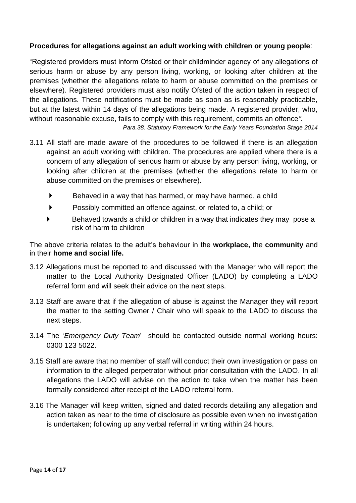## **Procedures for allegations against an adult working with children or young people**:

"Registered providers must inform Ofsted or their childminder agency of any allegations of serious harm or abuse by any person living, working, or looking after children at the premises (whether the allegations relate to harm or abuse committed on the premises or elsewhere). Registered providers must also notify Ofsted of the action taken in respect of the allegations. These notifications must be made as soon as is reasonably practicable, but at the latest within 14 days of the allegations being made. A registered provider, who, without reasonable excuse, fails to comply with this requirement, commits an offence*".* 

*Para.38. Statutory Framework for the Early Years Foundation Stage 2014*

- 3.11 All staff are made aware of the procedures to be followed if there is an allegation against an adult working with children. The procedures are applied where there is a concern of any allegation of serious harm or abuse by any person living, working, or looking after children at the premises (whether the allegations relate to harm or abuse committed on the premises or elsewhere).
	- $\blacktriangleright$  Behaved in a way that has harmed, or may have harmed, a child
	- Possibly committed an offence against, or related to, a child; or
	- Behaved towards a child or children in a way that indicates they may pose a risk of harm to children

The above criteria relates to the adult's behaviour in the **workplace,** the **community** and in their **home and social life.**

- 3.12 Allegations must be reported to and discussed with the Manager who will report the matter to the Local Authority Designated Officer (LADO) by completing a LADO referral form and will seek their advice on the next steps.
- 3.13 Staff are aware that if the allegation of abuse is against the Manager they will report the matter to the setting Owner / Chair who will speak to the LADO to discuss the next steps.
- 3.14 The '*Emergency Duty Team*' should be contacted outside normal working hours: 0300 123 5022.
- 3.15 Staff are aware that no member of staff will conduct their own investigation or pass on information to the alleged perpetrator without prior consultation with the LADO. In all allegations the LADO will advise on the action to take when the matter has been formally considered after receipt of the LADO referral form.
- 3.16 The Manager will keep written, signed and dated records detailing any allegation and action taken as near to the time of disclosure as possible even when no investigation is undertaken; following up any verbal referral in writing within 24 hours.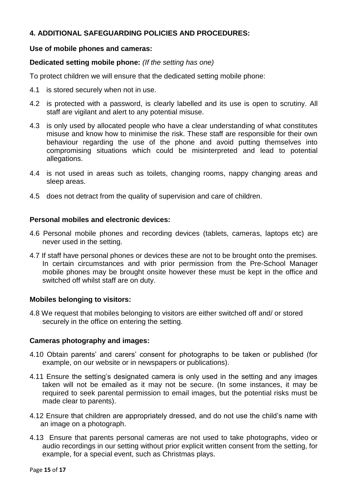## **4. ADDITIONAL SAFEGUARDING POLICIES AND PROCEDURES:**

## **Use of mobile phones and cameras:**

## **Dedicated setting mobile phone:** *(If the setting has one)*

To protect children we will ensure that the dedicated setting mobile phone:

- 4.1 is stored securely when not in use.
- 4.2 is protected with a password, is clearly labelled and its use is open to scrutiny. All staff are vigilant and alert to any potential misuse.
- 4.3 is only used by allocated people who have a clear understanding of what constitutes misuse and know how to minimise the risk. These staff are responsible for their own behaviour regarding the use of the phone and avoid putting themselves into compromising situations which could be misinterpreted and lead to potential allegations.
- 4.4 is not used in areas such as toilets, changing rooms, nappy changing areas and sleep areas.
- 4.5 does not detract from the quality of supervision and care of children.

## **Personal mobiles and electronic devices:**

- 4.6 Personal mobile phones and recording devices (tablets, cameras, laptops etc) are never used in the setting.
- 4.7 If staff have personal phones or devices these are not to be brought onto the premises. In certain circumstances and with prior permission from the Pre-School Manager mobile phones may be brought onsite however these must be kept in the office and switched off whilst staff are on duty.

## **Mobiles belonging to visitors:**

4.8 We request that mobiles belonging to visitors are either switched off and/ or stored securely in the office on entering the setting.

#### **Cameras photography and images:**

- 4.10 Obtain parents' and carers' consent for photographs to be taken or published (for example, on our website or in newspapers or publications).
- 4.11 Ensure the setting's designated camera is only used in the setting and any images taken will not be emailed as it may not be secure. (In some instances, it may be required to seek parental permission to email images, but the potential risks must be made clear to parents).
- 4.12 Ensure that children are appropriately dressed, and do not use the child's name with an image on a photograph.
- 4.13 Ensure that parents personal cameras are not used to take photographs, video or audio recordings in our setting without prior explicit written consent from the setting, for example, for a special event, such as Christmas plays.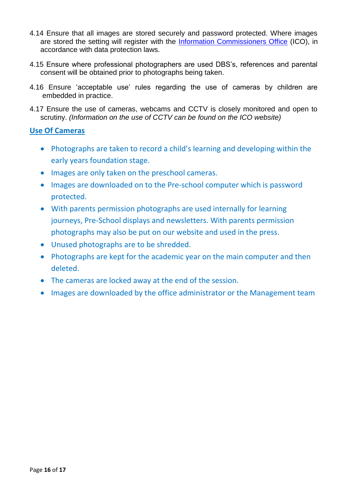- 4.14 Ensure that all images are stored securely and password protected. Where images are stored the setting will register with the [Information Commissioners Office](https://ico.org.uk/) (ICO), in accordance with data protection laws.
- 4.15 Ensure where professional photographers are used DBS's, references and parental consent will be obtained prior to photographs being taken.
- 4.16 Ensure 'acceptable use' rules regarding the use of cameras by children are embedded in practice.
- 4.17 Ensure the use of cameras, webcams and CCTV is closely monitored and open to scrutiny. *(Information on the use of CCTV can be found on the ICO website)*

## **Use Of Cameras**

- Photographs are taken to record a child's learning and developing within the early years foundation stage.
- Images are only taken on the preschool cameras.
- Images are downloaded on to the Pre-school computer which is password protected.
- With parents permission photographs are used internally for learning journeys, Pre-School displays and newsletters. With parents permission photographs may also be put on our website and used in the press.
- Unused photographs are to be shredded.
- Photographs are kept for the academic year on the main computer and then deleted.
- The cameras are locked away at the end of the session.
- Images are downloaded by the office administrator or the Management team